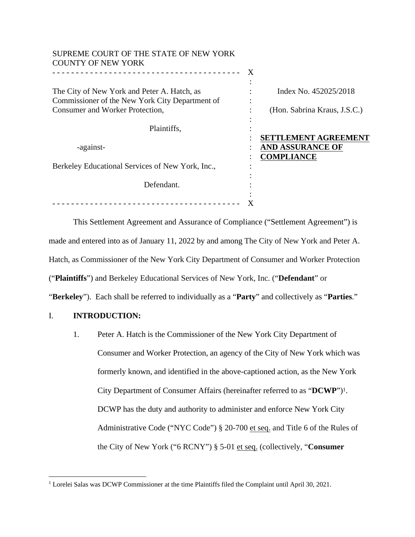| SUPREME COURT OF THE STATE OF NEW YORK<br><b>COUNTY OF NEW YORK</b> |   |                              |
|---------------------------------------------------------------------|---|------------------------------|
|                                                                     | X |                              |
| The City of New York and Peter A. Hatch, as                         |   | Index No. 452025/2018        |
| Commissioner of the New York City Department of                     |   |                              |
| Consumer and Worker Protection,                                     |   | (Hon. Sabrina Kraus, J.S.C.) |
|                                                                     |   |                              |
| Plaintiffs,                                                         |   |                              |
|                                                                     |   | <b>SETTLEMENT AGREEMENT</b>  |
| -against-                                                           |   | <b>AND ASSURANCE OF</b>      |
|                                                                     |   | <b>COMPLIANCE</b>            |
| Berkeley Educational Services of New York, Inc.,                    |   |                              |
|                                                                     |   |                              |
| Defendant.                                                          |   |                              |
|                                                                     |   |                              |
| ____________________________                                        |   |                              |

This Settlement Agreement and Assurance of Compliance ("Settlement Agreement") is made and entered into as of January 11, 2022 by and among The City of New York and Peter A. Hatch, as Commissioner of the New York City Department of Consumer and Worker Protection ("**Plaintiffs**") and Berkeley Educational Services of New York, Inc. ("**Defendant**" or "**Berkeley**"). Each shall be referred to individually as a "**Party**" and collectively as "**Parties**."

# I. **INTRODUCTION:**

1. Peter A. Hatch is the Commissioner of the New York City Department of Consumer and Worker Protection, an agency of the City of New York which was formerly known, and identified in the above-captioned action, as the New York City Department of Consumer Affairs (hereinafter referred to as "**DCWP**") 1. DCWP has the duty and authority to administer and enforce New York City Administrative Code ("NYC Code") § 20-700 et seq. and Title 6 of the Rules of the City of New York ("6 RCNY") § 5-01 et seq. (collectively, "**Consumer**

<sup>&</sup>lt;sup>1</sup> Lorelei Salas was DCWP Commissioner at the time Plaintiffs filed the Complaint until April 30, 2021.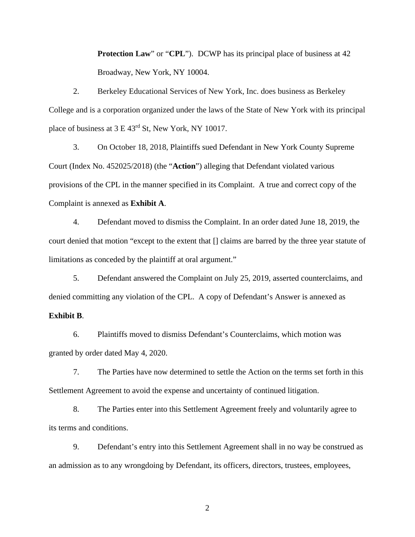**Protection Law**" or "**CPL**"). DCWP has its principal place of business at 42 Broadway, New York, NY 10004.

2. Berkeley Educational Services of New York, Inc. does business as Berkeley College and is a corporation organized under the laws of the State of New York with its principal place of business at 3 E 43rd St, New York, NY 10017.

3. On October 18, 2018, Plaintiffs sued Defendant in New York County Supreme Court (Index No. 452025/2018) (the "**Action**") alleging that Defendant violated various provisions of the CPL in the manner specified in its Complaint. A true and correct copy of the Complaint is annexed as **Exhibit A**.

4. Defendant moved to dismiss the Complaint. In an order dated June 18, 2019, the court denied that motion "except to the extent that [] claims are barred by the three year statute of limitations as conceded by the plaintiff at oral argument."

5. Defendant answered the Complaint on July 25, 2019, asserted counterclaims, and denied committing any violation of the CPL. A copy of Defendant's Answer is annexed as

### **Exhibit B**.

6. Plaintiffs moved to dismiss Defendant's Counterclaims, which motion was granted by order dated May 4, 2020.

7. The Parties have now determined to settle the Action on the terms set forth in this Settlement Agreement to avoid the expense and uncertainty of continued litigation.

8. The Parties enter into this Settlement Agreement freely and voluntarily agree to its terms and conditions.

9. Defendant's entry into this Settlement Agreement shall in no way be construed as an admission as to any wrongdoing by Defendant, its officers, directors, trustees, employees,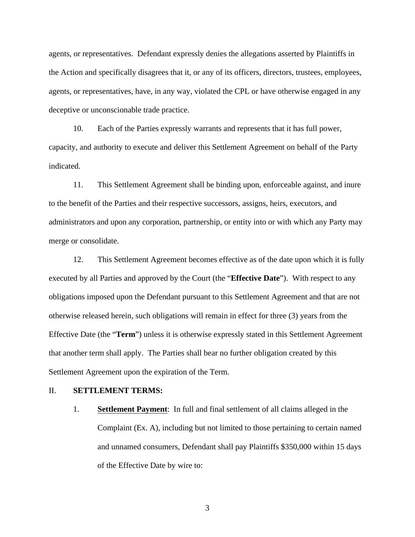agents, or representatives. Defendant expressly denies the allegations asserted by Plaintiffs in the Action and specifically disagrees that it, or any of its officers, directors, trustees, employees, agents, or representatives, have, in any way, violated the CPL or have otherwise engaged in any deceptive or unconscionable trade practice.

10. Each of the Parties expressly warrants and represents that it has full power, capacity, and authority to execute and deliver this Settlement Agreement on behalf of the Party indicated.

11. This Settlement Agreement shall be binding upon, enforceable against, and inure to the benefit of the Parties and their respective successors, assigns, heirs, executors, and administrators and upon any corporation, partnership, or entity into or with which any Party may merge or consolidate.

12. This Settlement Agreement becomes effective as of the date upon which it is fully executed by all Parties and approved by the Court (the "**Effective Date**"). With respect to any obligations imposed upon the Defendant pursuant to this Settlement Agreement and that are not otherwise released herein, such obligations will remain in effect for three (3) years from the Effective Date (the "**Term**") unless it is otherwise expressly stated in this Settlement Agreement that another term shall apply. The Parties shall bear no further obligation created by this Settlement Agreement upon the expiration of the Term.

#### II. **SETTLEMENT TERMS:**

1. **Settlement Payment**: In full and final settlement of all claims alleged in the Complaint (Ex. A), including but not limited to those pertaining to certain named and unnamed consumers, Defendant shall pay Plaintiffs \$350,000 within 15 days of the Effective Date by wire to: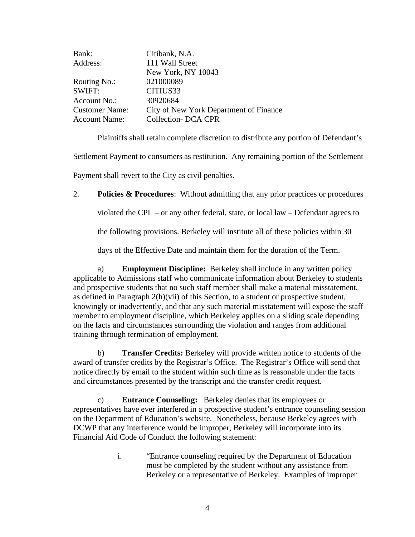| Bank:                 | Citibank, N.A.                         |
|-----------------------|----------------------------------------|
| Address:              | 111 Wall Street                        |
|                       | New York, NY 10043                     |
| Routing No.:          | 021000089                              |
| SWIFT:                | CITIUS33                               |
| Account No.:          | 30920684                               |
| <b>Customer Name:</b> | City of New York Department of Finance |
| <b>Account Name:</b>  | <b>Collection- DCA CPR</b>             |
|                       |                                        |

Plaintiffs shall retain complete discretion to distribute any portion of Defendant's

Settlement Payment to consumers as restitution. Any remaining portion of the Settlement

Payment shall revert to the City as civil penalties.

2. **Policies & Procedures**: Without admitting that any prior practices or procedures

violated the CPL – or any other federal, state, or local law – Defendant agrees to

the following provisions. Berkeley will institute all of these policies within 30

days of the Effective Date and maintain them for the duration of the Term.

a) **Employment Discipline:** Berkeley shall include in any written policy applicable to Admissions staff who communicate information about Berkeley to students and prospective students that no such staff member shall make a material misstatement, as defined in Paragraph 2(h)(vii) of this Section, to a student or prospective student, knowingly or inadvertently, and that any such material misstatement will expose the staff member to employment discipline, which Berkeley applies on a sliding scale depending on the facts and circumstances surrounding the violation and ranges from additional training through termination of employment.

b) **Transfer Credits:** Berkeley will provide written notice to students of the award of transfer credits by the Registrar's Office. The Registrar's Office will send that notice directly by email to the student within such time as is reasonable under the facts and circumstances presented by the transcript and the transfer credit request.

c) **Entrance Counseling:** Berkeley denies that its employees or representatives have ever interfered in a prospective student's entrance counseling session on the Department of Education's website. Nonetheless, because Berkeley agrees with DCWP that any interference would be improper, Berkeley will incorporate into its Financial Aid Code of Conduct the following statement:

> i. "Entrance counseling required by the Department of Education must be completed by the student without any assistance from Berkeley or a representative of Berkeley. Examples of improper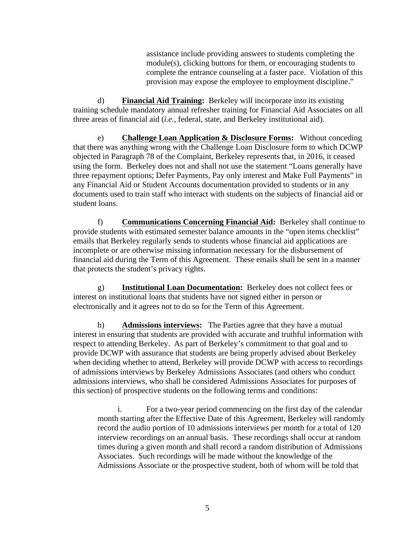assistance include providing answers to students completing the module(s), clicking buttons for them, or encouraging students to complete the entrance counseling at a faster pace. Violation of this provision may expose the employee to employment discipline."

d) **Financial Aid Training:** Berkeley will incorporate into its existing training schedule mandatory annual refresher training for Financial Aid Associates on all three areas of financial aid (*i.e.*, federal, state, and Berkeley institutional aid).

e) **Challenge Loan Application & Disclosure Forms:** Without conceding that there was anything wrong with the Challenge Loan Disclosure form to which DCWP objected in Paragraph 78 of the Complaint, Berkeley represents that, in 2016, it ceased using the form. Berkeley does not and shall not use the statement "Loans generally have three repayment options; Defer Payments, Pay only interest and Make Full Payments" in any Financial Aid or Student Accounts documentation provided to students or in any documents used to train staff who interact with students on the subjects of financial aid or student loans.

f) **Communications Concerning Financial Aid:** Berkeley shall continue to provide students with estimated semester balance amounts in the "open items checklist" emails that Berkeley regularly sends to students whose financial aid applications are incomplete or are otherwise missing information necessary for the disbursement of financial aid during the Term of this Agreement. These emails shall be sent in a manner that protects the student's privacy rights.

g) **Institutional Loan Documentation:** Berkeley does not collect fees or interest on institutional loans that students have not signed either in person or electronically and it agrees not to do so for the Term of this Agreement.

h) **Admissions interviews:** The Parties agree that they have a mutual interest in ensuring that students are provided with accurate and truthful information with respect to attending Berkeley. As part of Berkeley's commitment to that goal and to provide DCWP with assurance that students are being properly advised about Berkeley when deciding whether to attend, Berkeley will provide DCWP with access to recordings of admissions interviews by Berkeley Admissions Associates (and others who conduct admissions interviews, who shall be considered Admissions Associates for purposes of this section) of prospective students on the following terms and conditions:

i. For a two-year period commencing on the first day of the calendar month starting after the Effective Date of this Agreement, Berkeley will randomly record the audio portion of 10 admissions interviews per month for a total of 120 interview recordings on an annual basis. These recordings shall occur at random times during a given month and shall record a random distribution of Admissions Associates. Such recordings will be made without the knowledge of the Admissions Associate or the prospective student, both of whom will be told that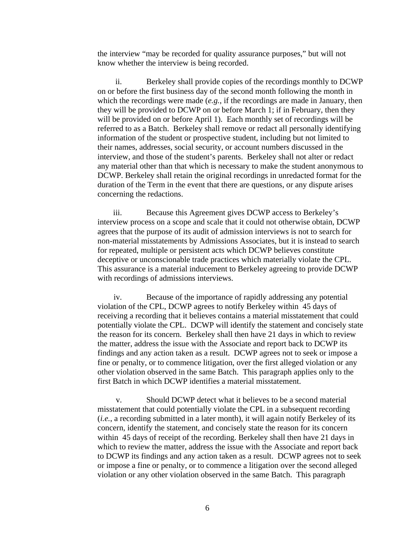the interview "may be recorded for quality assurance purposes," but will not know whether the interview is being recorded.

ii. Berkeley shall provide copies of the recordings monthly to DCWP on or before the first business day of the second month following the month in which the recordings were made (*e.g.*, if the recordings are made in January, then they will be provided to DCWP on or before March 1; if in February, then they will be provided on or before April 1). Each monthly set of recordings will be referred to as a Batch. Berkeley shall remove or redact all personally identifying information of the student or prospective student, including but not limited to their names, addresses, social security, or account numbers discussed in the interview, and those of the student's parents. Berkeley shall not alter or redact any material other than that which is necessary to make the student anonymous to DCWP. Berkeley shall retain the original recordings in unredacted format for the duration of the Term in the event that there are questions, or any dispute arises concerning the redactions.

iii. Because this Agreement gives DCWP access to Berkeley's interview process on a scope and scale that it could not otherwise obtain, DCWP agrees that the purpose of its audit of admission interviews is not to search for non-material misstatements by Admissions Associates, but it is instead to search for repeated, multiple or persistent acts which DCWP believes constitute deceptive or unconscionable trade practices which materially violate the CPL. This assurance is a material inducement to Berkeley agreeing to provide DCWP with recordings of admissions interviews.

iv. Because of the importance of rapidly addressing any potential violation of the CPL, DCWP agrees to notify Berkeley within 45 days of receiving a recording that it believes contains a material misstatement that could potentially violate the CPL. DCWP will identify the statement and concisely state the reason for its concern. Berkeley shall then have 21 days in which to review the matter, address the issue with the Associate and report back to DCWP its findings and any action taken as a result. DCWP agrees not to seek or impose a fine or penalty, or to commence litigation, over the first alleged violation or any other violation observed in the same Batch. This paragraph applies only to the first Batch in which DCWP identifies a material misstatement.

v. Should DCWP detect what it believes to be a second material misstatement that could potentially violate the CPL in a subsequent recording (*i.e.*, a recording submitted in a later month), it will again notify Berkeley of its concern, identify the statement, and concisely state the reason for its concern within 45 days of receipt of the recording. Berkeley shall then have 21 days in which to review the matter, address the issue with the Associate and report back to DCWP its findings and any action taken as a result. DCWP agrees not to seek or impose a fine or penalty, or to commence a litigation over the second alleged violation or any other violation observed in the same Batch. This paragraph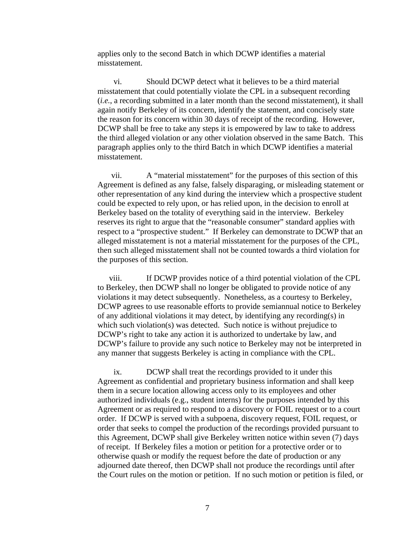applies only to the second Batch in which DCWP identifies a material misstatement.

vi. Should DCWP detect what it believes to be a third material misstatement that could potentially violate the CPL in a subsequent recording (*i.e.*, a recording submitted in a later month than the second misstatement), it shall again notify Berkeley of its concern, identify the statement, and concisely state the reason for its concern within 30 days of receipt of the recording. However, DCWP shall be free to take any steps it is empowered by law to take to address the third alleged violation or any other violation observed in the same Batch. This paragraph applies only to the third Batch in which DCWP identifies a material misstatement.

vii. A "material misstatement" for the purposes of this section of this Agreement is defined as any false, falsely disparaging, or misleading statement or other representation of any kind during the interview which a prospective student could be expected to rely upon, or has relied upon, in the decision to enroll at Berkeley based on the totality of everything said in the interview. Berkeley reserves its right to argue that the "reasonable consumer" standard applies with respect to a "prospective student." If Berkeley can demonstrate to DCWP that an alleged misstatement is not a material misstatement for the purposes of the CPL, then such alleged misstatement shall not be counted towards a third violation for the purposes of this section.

viii. If DCWP provides notice of a third potential violation of the CPL to Berkeley, then DCWP shall no longer be obligated to provide notice of any violations it may detect subsequently. Nonetheless, as a courtesy to Berkeley, DCWP agrees to use reasonable efforts to provide semiannual notice to Berkeley of any additional violations it may detect, by identifying any recording(s) in which such violation(s) was detected. Such notice is without prejudice to DCWP's right to take any action it is authorized to undertake by law, and DCWP's failure to provide any such notice to Berkeley may not be interpreted in any manner that suggests Berkeley is acting in compliance with the CPL.

ix. DCWP shall treat the recordings provided to it under this Agreement as confidential and proprietary business information and shall keep them in a secure location allowing access only to its employees and other authorized individuals (e.g., student interns) for the purposes intended by this Agreement or as required to respond to a discovery or FOIL request or to a court order. If DCWP is served with a subpoena, discovery request, FOIL request, or order that seeks to compel the production of the recordings provided pursuant to this Agreement, DCWP shall give Berkeley written notice within seven (7) days of receipt. If Berkeley files a motion or petition for a protective order or to otherwise quash or modify the request before the date of production or any adjourned date thereof, then DCWP shall not produce the recordings until after the Court rules on the motion or petition. If no such motion or petition is filed, or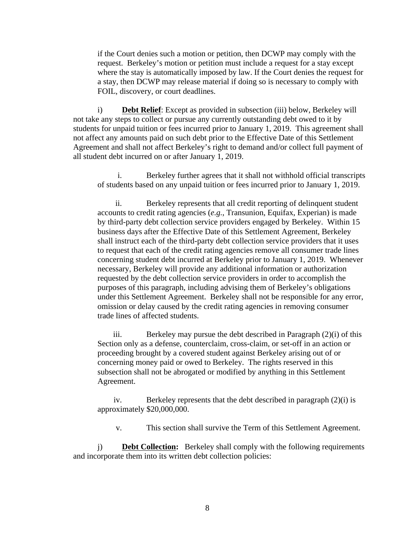if the Court denies such a motion or petition, then DCWP may comply with the request. Berkeley's motion or petition must include a request for a stay except where the stay is automatically imposed by law. If the Court denies the request for a stay, then DCWP may release material if doing so is necessary to comply with FOIL, discovery, or court deadlines.

i) **Debt Relief**: Except as provided in subsection (iii) below, Berkeley will not take any steps to collect or pursue any currently outstanding debt owed to it by students for unpaid tuition or fees incurred prior to January 1, 2019. This agreement shall not affect any amounts paid on such debt prior to the Effective Date of this Settlement Agreement and shall not affect Berkeley's right to demand and/or collect full payment of all student debt incurred on or after January 1, 2019.

i. Berkeley further agrees that it shall not withhold official transcripts of students based on any unpaid tuition or fees incurred prior to January 1, 2019.

ii. Berkeley represents that all credit reporting of delinquent student accounts to credit rating agencies (*e.g.*, Transunion, Equifax, Experian) is made by third-party debt collection service providers engaged by Berkeley. Within 15 business days after the Effective Date of this Settlement Agreement, Berkeley shall instruct each of the third-party debt collection service providers that it uses to request that each of the credit rating agencies remove all consumer trade lines concerning student debt incurred at Berkeley prior to January 1, 2019. Whenever necessary, Berkeley will provide any additional information or authorization requested by the debt collection service providers in order to accomplish the purposes of this paragraph, including advising them of Berkeley's obligations under this Settlement Agreement. Berkeley shall not be responsible for any error, omission or delay caused by the credit rating agencies in removing consumer trade lines of affected students.

iii. Berkeley may pursue the debt described in Paragraph (2)(i) of this Section only as a defense, counterclaim, cross-claim, or set-off in an action or proceeding brought by a covered student against Berkeley arising out of or concerning money paid or owed to Berkeley. The rights reserved in this subsection shall not be abrogated or modified by anything in this Settlement Agreement.

iv. Berkeley represents that the debt described in paragraph (2)(i) is approximately \$20,000,000.

v. This section shall survive the Term of this Settlement Agreement.

j) **Debt Collection:** Berkeley shall comply with the following requirements and incorporate them into its written debt collection policies: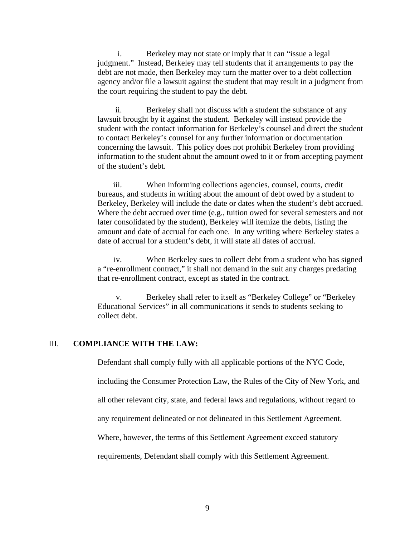i. Berkeley may not state or imply that it can "issue a legal judgment." Instead, Berkeley may tell students that if arrangements to pay the debt are not made, then Berkeley may turn the matter over to a debt collection agency and/or file a lawsuit against the student that may result in a judgment from the court requiring the student to pay the debt.

ii. Berkeley shall not discuss with a student the substance of any lawsuit brought by it against the student. Berkeley will instead provide the student with the contact information for Berkeley's counsel and direct the student to contact Berkeley's counsel for any further information or documentation concerning the lawsuit. This policy does not prohibit Berkeley from providing information to the student about the amount owed to it or from accepting payment of the student's debt.

iii. When informing collections agencies, counsel, courts, credit bureaus, and students in writing about the amount of debt owed by a student to Berkeley, Berkeley will include the date or dates when the student's debt accrued. Where the debt accrued over time (e.g., tuition owed for several semesters and not later consolidated by the student), Berkeley will itemize the debts, listing the amount and date of accrual for each one. In any writing where Berkeley states a date of accrual for a student's debt, it will state all dates of accrual.

iv. When Berkeley sues to collect debt from a student who has signed a "re-enrollment contract," it shall not demand in the suit any charges predating that re-enrollment contract, except as stated in the contract.

v. Berkeley shall refer to itself as "Berkeley College" or "Berkeley Educational Services" in all communications it sends to students seeking to collect debt.

# III. **COMPLIANCE WITH THE LAW:**

Defendant shall comply fully with all applicable portions of the NYC Code,

including the Consumer Protection Law, the Rules of the City of New York, and

all other relevant city, state, and federal laws and regulations, without regard to

any requirement delineated or not delineated in this Settlement Agreement.

Where, however, the terms of this Settlement Agreement exceed statutory

requirements, Defendant shall comply with this Settlement Agreement.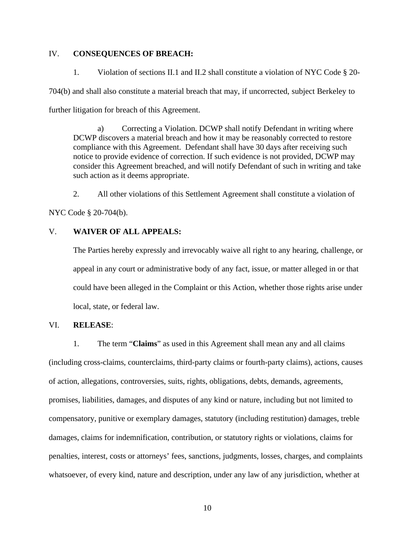# IV. **CONSEQUENCES OF BREACH:**

1. Violation of sections II.1 and II.2 shall constitute a violation of NYC Code § 20- 704(b) and shall also constitute a material breach that may, if uncorrected, subject Berkeley to further litigation for breach of this Agreement.

a) Correcting a Violation. DCWP shall notify Defendant in writing where DCWP discovers a material breach and how it may be reasonably corrected to restore compliance with this Agreement. Defendant shall have 30 days after receiving such notice to provide evidence of correction. If such evidence is not provided, DCWP may consider this Agreement breached, and will notify Defendant of such in writing and take such action as it deems appropriate.

2. All other violations of this Settlement Agreement shall constitute a violation of

NYC Code § 20-704(b).

# V. **WAIVER OF ALL APPEALS:**

The Parties hereby expressly and irrevocably waive all right to any hearing, challenge, or appeal in any court or administrative body of any fact, issue, or matter alleged in or that could have been alleged in the Complaint or this Action, whether those rights arise under local, state, or federal law.

# VI. **RELEASE**:

1. The term "**Claims**" as used in this Agreement shall mean any and all claims (including cross-claims, counterclaims, third-party claims or fourth-party claims), actions, causes of action, allegations, controversies, suits, rights, obligations, debts, demands, agreements, promises, liabilities, damages, and disputes of any kind or nature, including but not limited to compensatory, punitive or exemplary damages, statutory (including restitution) damages, treble damages, claims for indemnification, contribution, or statutory rights or violations, claims for penalties, interest, costs or attorneys' fees, sanctions, judgments, losses, charges, and complaints whatsoever, of every kind, nature and description, under any law of any jurisdiction, whether at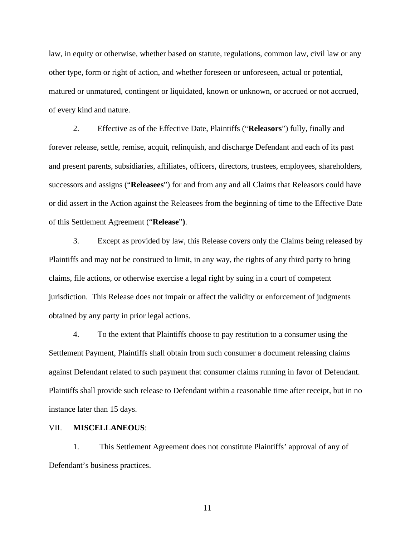law, in equity or otherwise, whether based on statute, regulations, common law, civil law or any other type, form or right of action, and whether foreseen or unforeseen, actual or potential, matured or unmatured, contingent or liquidated, known or unknown, or accrued or not accrued, of every kind and nature.

2. Effective as of the Effective Date, Plaintiffs ("**Releasors**") fully, finally and forever release, settle, remise, acquit, relinquish, and discharge Defendant and each of its past and present parents, subsidiaries, affiliates, officers, directors, trustees, employees, shareholders, successors and assigns ("**Releasees**") for and from any and all Claims that Releasors could have or did assert in the Action against the Releasees from the beginning of time to the Effective Date of this Settlement Agreement ("**Release**"**)**.

3. Except as provided by law, this Release covers only the Claims being released by Plaintiffs and may not be construed to limit, in any way, the rights of any third party to bring claims, file actions, or otherwise exercise a legal right by suing in a court of competent jurisdiction. This Release does not impair or affect the validity or enforcement of judgments obtained by any party in prior legal actions.

4. To the extent that Plaintiffs choose to pay restitution to a consumer using the Settlement Payment, Plaintiffs shall obtain from such consumer a document releasing claims against Defendant related to such payment that consumer claims running in favor of Defendant. Plaintiffs shall provide such release to Defendant within a reasonable time after receipt, but in no instance later than 15 days.

#### VII. **MISCELLANEOUS**:

1. This Settlement Agreement does not constitute Plaintiffs' approval of any of Defendant's business practices.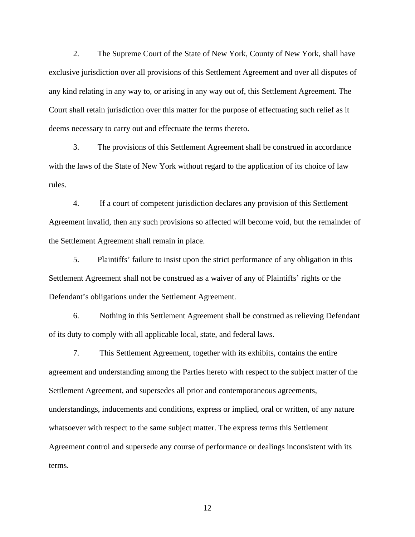2. The Supreme Court of the State of New York, County of New York, shall have exclusive jurisdiction over all provisions of this Settlement Agreement and over all disputes of any kind relating in any way to, or arising in any way out of, this Settlement Agreement. The Court shall retain jurisdiction over this matter for the purpose of effectuating such relief as it deems necessary to carry out and effectuate the terms thereto.

3. The provisions of this Settlement Agreement shall be construed in accordance with the laws of the State of New York without regard to the application of its choice of law rules.

4. If a court of competent jurisdiction declares any provision of this Settlement Agreement invalid, then any such provisions so affected will become void, but the remainder of the Settlement Agreement shall remain in place.

5. Plaintiffs' failure to insist upon the strict performance of any obligation in this Settlement Agreement shall not be construed as a waiver of any of Plaintiffs' rights or the Defendant's obligations under the Settlement Agreement.

6. Nothing in this Settlement Agreement shall be construed as relieving Defendant of its duty to comply with all applicable local, state, and federal laws.

7. This Settlement Agreement, together with its exhibits, contains the entire agreement and understanding among the Parties hereto with respect to the subject matter of the Settlement Agreement, and supersedes all prior and contemporaneous agreements, understandings, inducements and conditions, express or implied, oral or written, of any nature whatsoever with respect to the same subject matter. The express terms this Settlement Agreement control and supersede any course of performance or dealings inconsistent with its terms.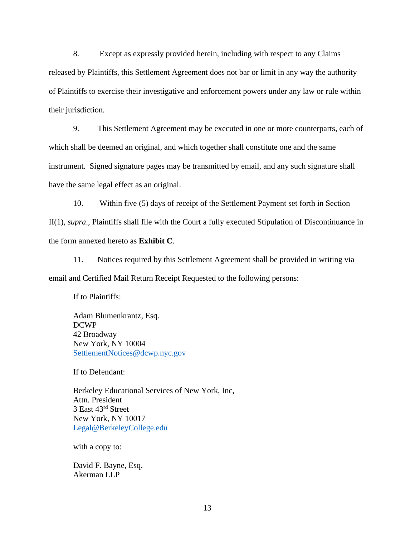8. Except as expressly provided herein, including with respect to any Claims released by Plaintiffs, this Settlement Agreement does not bar or limit in any way the authority of Plaintiffs to exercise their investigative and enforcement powers under any law or rule within their jurisdiction.

9. This Settlement Agreement may be executed in one or more counterparts, each of which shall be deemed an original, and which together shall constitute one and the same instrument. Signed signature pages may be transmitted by email, and any such signature shall have the same legal effect as an original.

10. Within five (5) days of receipt of the Settlement Payment set forth in Section II(1), *supra*., Plaintiffs shall file with the Court a fully executed Stipulation of Discontinuance in the form annexed hereto as **Exhibit C**.

11. Notices required by this Settlement Agreement shall be provided in writing via email and Certified Mail Return Receipt Requested to the following persons:

If to Plaintiffs:

Adam Blumenkrantz, Esq. DCWP 42 Broadway New York, NY 10004 SettlementNotices@dcwp.nyc.gov

If to Defendant:

Berkeley Educational Services of New York, Inc, Attn. President 3 East 43rd Street New York, NY 10017 Legal@BerkeleyCollege.edu

with a copy to:

David F. Bayne, Esq. Akerman LLP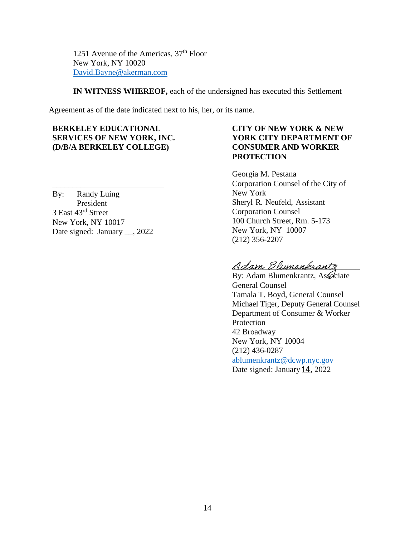1251 Avenue of the Americas,  $37<sup>th</sup>$  Floor New York, NY 10020 David.Bayne@akerman.com

**IN WITNESS WHEREOF,** each of the undersigned has executed this Settlement

Agreement as of the date indicated next to his, her, or its name.

**BERKELEY EDUCATIONAL SERVICES OF NEW YORK, INC. (D/B/A BERKELEY COLLEGE)**

By: Randy Luing President 3 East 43rd Street New York, NY 10017 Date signed: January \_\_, 2022

 $\frac{1}{2}$  ,  $\frac{1}{2}$  ,  $\frac{1}{2}$  ,  $\frac{1}{2}$  ,  $\frac{1}{2}$  ,  $\frac{1}{2}$  ,  $\frac{1}{2}$  ,  $\frac{1}{2}$  ,  $\frac{1}{2}$  ,  $\frac{1}{2}$  ,  $\frac{1}{2}$  ,  $\frac{1}{2}$  ,  $\frac{1}{2}$  ,  $\frac{1}{2}$  ,  $\frac{1}{2}$  ,  $\frac{1}{2}$  ,  $\frac{1}{2}$  ,  $\frac{1}{2}$  ,  $\frac{1$ 

# **CITY OF NEW YORK & NEW YORK CITY DEPARTMENT OF CONSUMER AND WORKER PROTECTION**

Georgia M. Pestana Corporation Counsel of the City of New York Sheryl R. Neufeld, Assistant Corporation Counsel 100 Church Street, Rm. 5-173 New York, NY 10007 (212) 356-2207

Adam Blumenkrantz

By: Adam Blumenkrantz, Associate General Counsel Tamala T. Boyd, General Counsel Michael Tiger, Deputy General Counsel Department of Consumer & Worker Protection 42 Broadway New York, NY 10004 (212) 436-0287 ablumenkrantz@dcwp.nyc.gov Date signed: January 14, 2022